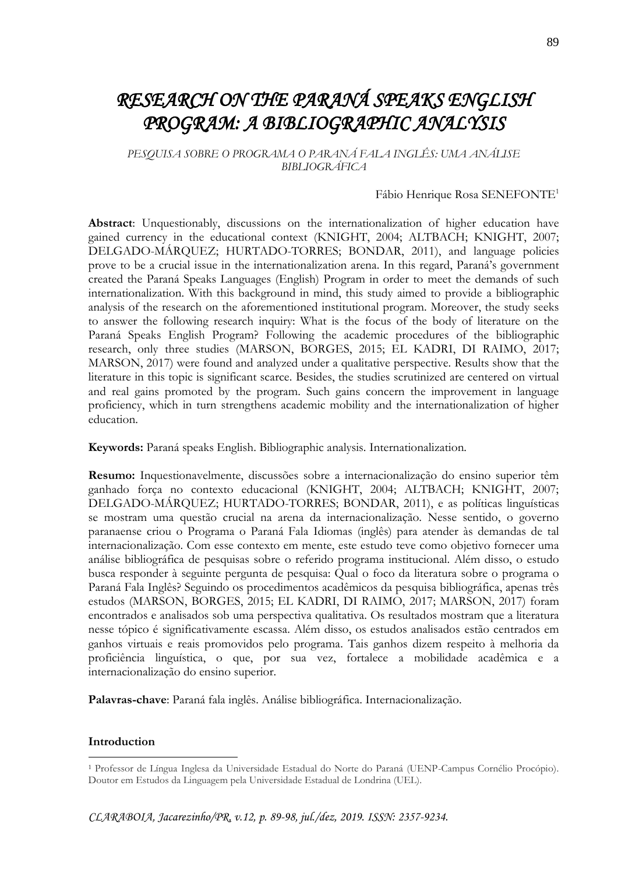# *RESEARCH ON THE PARANÁ SPEAKS ENGLISH PROGRAM: A BIBLIOGRAPHIC ANALYSIS*

*PESQUISA SOBRE O PROGRAMA O PARANÁ FALA INGLÊS: UMA ANÁLISE BIBLIOGRÁFICA*

#### Fábio Henrique Rosa SENEFONTE<sup>1</sup>

**Abstract**: Unquestionably, discussions on the internationalization of higher education have gained currency in the educational context (KNIGHT, 2004; ALTBACH; KNIGHT, 2007; DELGADO-MÁRQUEZ; HURTADO-TORRES; BONDAR, 2011), and language policies prove to be a crucial issue in the internationalization arena. In this regard, Paraná's government created the Paraná Speaks Languages (English) Program in order to meet the demands of such internationalization. With this background in mind, this study aimed to provide a bibliographic analysis of the research on the aforementioned institutional program. Moreover, the study seeks to answer the following research inquiry: What is the focus of the body of literature on the Paraná Speaks English Program? Following the academic procedures of the bibliographic research, only three studies (MARSON, BORGES, 2015; EL KADRI, DI RAIMO, 2017; MARSON, 2017) were found and analyzed under a qualitative perspective. Results show that the literature in this topic is significant scarce. Besides, the studies scrutinized are centered on virtual and real gains promoted by the program. Such gains concern the improvement in language proficiency, which in turn strengthens academic mobility and the internationalization of higher education.

**Keywords:** Paraná speaks English. Bibliographic analysis. Internationalization.

**Resumo:** Inquestionavelmente, discussões sobre a internacionalização do ensino superior têm ganhado força no contexto educacional (KNIGHT, 2004; ALTBACH; KNIGHT, 2007; DELGADO-MÁRQUEZ; HURTADO-TORRES; BONDAR, 2011), e as políticas linguísticas se mostram uma questão crucial na arena da internacionalização. Nesse sentido, o governo paranaense criou o Programa o Paraná Fala Idiomas (inglês) para atender às demandas de tal internacionalização. Com esse contexto em mente, este estudo teve como objetivo fornecer uma análise bibliográfica de pesquisas sobre o referido programa institucional. Além disso, o estudo busca responder à seguinte pergunta de pesquisa: Qual o foco da literatura sobre o programa o Paraná Fala Inglês? Seguindo os procedimentos acadêmicos da pesquisa bibliográfica, apenas três estudos (MARSON, BORGES, 2015; EL KADRI, DI RAIMO, 2017; MARSON, 2017) foram encontrados e analisados sob uma perspectiva qualitativa. Os resultados mostram que a literatura nesse tópico é significativamente escassa. Além disso, os estudos analisados estão centrados em ganhos virtuais e reais promovidos pelo programa. Tais ganhos dizem respeito à melhoria da proficiência linguística, o que, por sua vez, fortalece a mobilidade acadêmica e a internacionalização do ensino superior.

**Palavras-chave**: Paraná fala inglês. Análise bibliográfica. Internacionalização.

#### **Introduction**

1

<sup>1</sup> Professor de Língua Inglesa da Universidade Estadual do Norte do Paraná (UENP-Campus Cornélio Procópio). Doutor em Estudos da Linguagem pela Universidade Estadual de Londrina (UEL).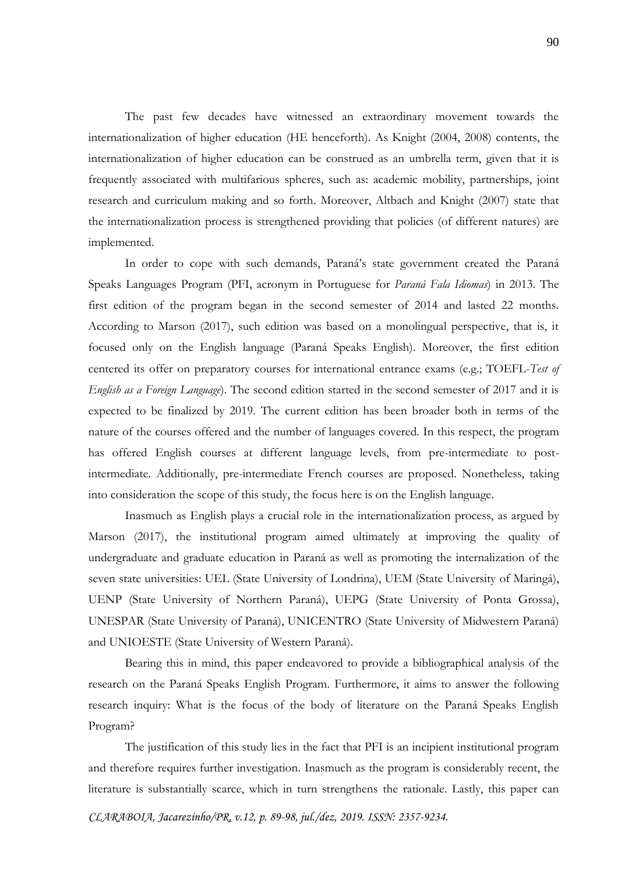The past few decades have witnessed an extraordinary movement towards the internationalization of higher education (HE henceforth). As Knight (2004, 2008) contents, the internationalization of higher education can be construed as an umbrella term, given that it is frequently associated with multifarious spheres, such as: academic mobility, partnerships, joint research and curriculum making and so forth. Moreover, Altbach and Knight (2007) state that the internationalization process is strengthened providing that policies (of different natures) are implemented.

In order to cope with such demands, Paraná's state government created the Paraná Speaks Languages Program (PFI, acronym in Portuguese for *Paraná Fala Idiomas*) in 2013. The first edition of the program began in the second semester of 2014 and lasted 22 months. According to Marson (2017), such edition was based on a monolingual perspective, that is, it focused only on the English language (Paraná Speaks English). Moreover, the first edition centered its offer on preparatory courses for international entrance exams (e.g.; TOEFL-*Test of English as a Foreign Language*). The second edition started in the second semester of 2017 and it is expected to be finalized by 2019. The current edition has been broader both in terms of the nature of the courses offered and the number of languages covered. In this respect, the program has offered English courses at different language levels, from pre-intermediate to postintermediate. Additionally, pre-intermediate French courses are proposed. Nonetheless, taking into consideration the scope of this study, the focus here is on the English language.

Inasmuch as English plays a crucial role in the internationalization process, as argued by Marson (2017), the institutional program aimed ultimately at improving the quality of undergraduate and graduate education in Paraná as well as promoting the internalization of the seven state universities: UEL (State University of Londrina), UEM (State University of Maringá), UENP (State University of Northern Paraná), UEPG (State University of Ponta Grossa), UNESPAR (State University of Paraná), UNICENTRO (State University of Midwestern Paraná) and UNIOESTE (State University of Western Paraná).

Bearing this in mind, this paper endeavored to provide a bibliographical analysis of the research on the Paraná Speaks English Program. Furthermore, it aims to answer the following research inquiry: What is the focus of the body of literature on the Paraná Speaks English Program?

The justification of this study lies in the fact that PFI is an incipient institutional program and therefore requires further investigation. Inasmuch as the program is considerably recent, the literature is substantially scarce, which in turn strengthens the rationale. Lastly, this paper can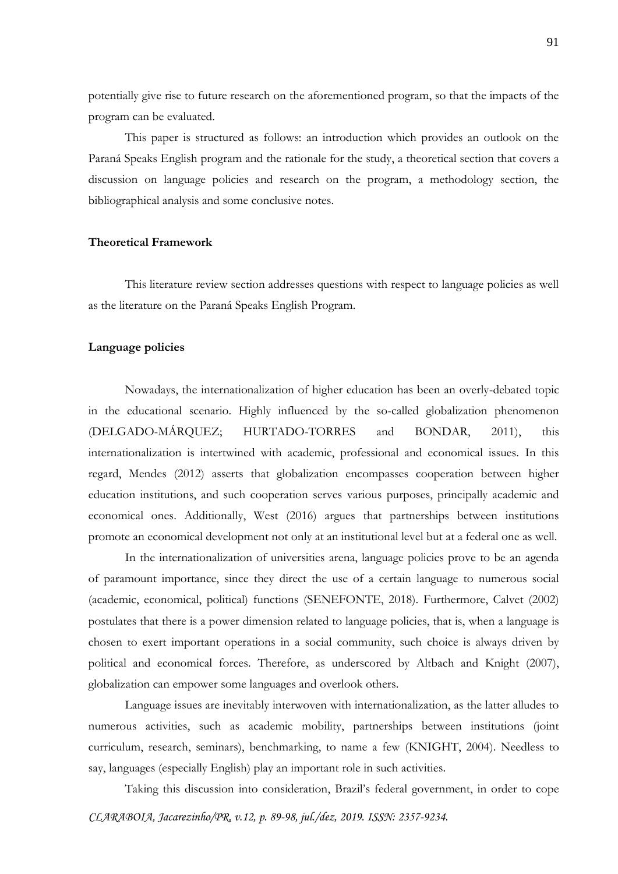potentially give rise to future research on the aforementioned program, so that the impacts of the program can be evaluated.

This paper is structured as follows: an introduction which provides an outlook on the Paraná Speaks English program and the rationale for the study, a theoretical section that covers a discussion on language policies and research on the program, a methodology section, the bibliographical analysis and some conclusive notes.

# **Theoretical Framework**

This literature review section addresses questions with respect to language policies as well as the literature on the Paraná Speaks English Program.

# **Language policies**

Nowadays, the internationalization of higher education has been an overly-debated topic in the educational scenario. Highly influenced by the so-called globalization phenomenon (DELGADO-MÁRQUEZ; HURTADO-TORRES and BONDAR, 2011), this internationalization is intertwined with academic, professional and economical issues. In this regard, Mendes (2012) asserts that globalization encompasses cooperation between higher education institutions, and such cooperation serves various purposes, principally academic and economical ones. Additionally, West (2016) argues that partnerships between institutions promote an economical development not only at an institutional level but at a federal one as well.

In the internationalization of universities arena, language policies prove to be an agenda of paramount importance, since they direct the use of a certain language to numerous social (academic, economical, political) functions (SENEFONTE, 2018). Furthermore, Calvet (2002) postulates that there is a power dimension related to language policies, that is, when a language is chosen to exert important operations in a social community, such choice is always driven by political and economical forces. Therefore, as underscored by Altbach and Knight (2007), globalization can empower some languages and overlook others.

Language issues are inevitably interwoven with internationalization, as the latter alludes to numerous activities, such as academic mobility, partnerships between institutions (joint curriculum, research, seminars), benchmarking, to name a few (KNIGHT, 2004). Needless to say, languages (especially English) play an important role in such activities.

Taking this discussion into consideration, Brazil's federal government, in order to cope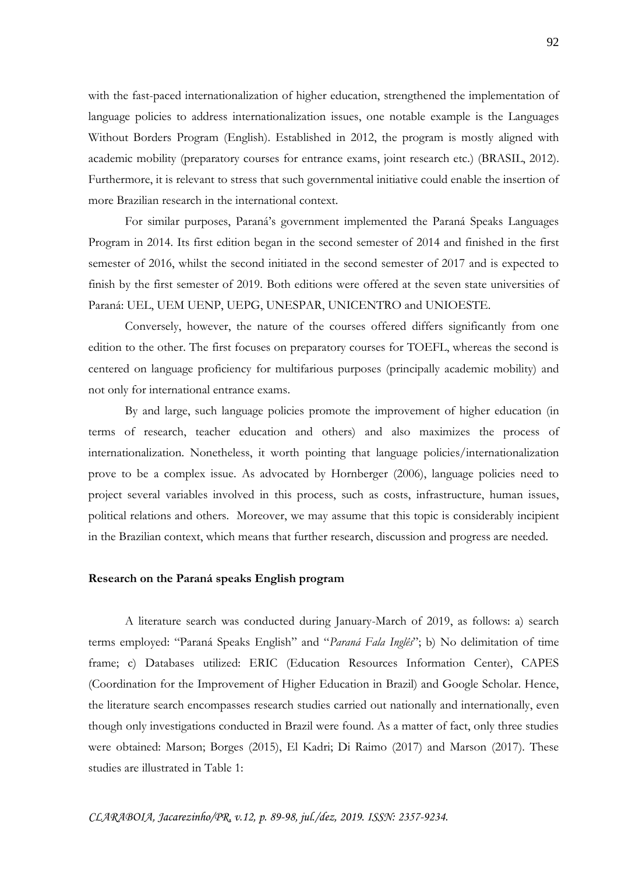with the fast-paced internationalization of higher education, strengthened the implementation of language policies to address internationalization issues, one notable example is the Languages Without Borders Program (English). Established in 2012, the program is mostly aligned with academic mobility (preparatory courses for entrance exams, joint research etc.) (BRASIL, 2012). Furthermore, it is relevant to stress that such governmental initiative could enable the insertion of more Brazilian research in the international context.

For similar purposes, Paraná's government implemented the Paraná Speaks Languages Program in 2014. Its first edition began in the second semester of 2014 and finished in the first semester of 2016, whilst the second initiated in the second semester of 2017 and is expected to finish by the first semester of 2019. Both editions were offered at the seven state universities of Paraná: UEL, UEM UENP, UEPG, UNESPAR, UNICENTRO and UNIOESTE.

Conversely, however, the nature of the courses offered differs significantly from one edition to the other. The first focuses on preparatory courses for TOEFL, whereas the second is centered on language proficiency for multifarious purposes (principally academic mobility) and not only for international entrance exams.

By and large, such language policies promote the improvement of higher education (in terms of research, teacher education and others) and also maximizes the process of internationalization. Nonetheless, it worth pointing that language policies/internationalization prove to be a complex issue. As advocated by Hornberger (2006), language policies need to project several variables involved in this process, such as costs, infrastructure, human issues, political relations and others. Moreover, we may assume that this topic is considerably incipient in the Brazilian context, which means that further research, discussion and progress are needed.

#### **Research on the Paraná speaks English program**

A literature search was conducted during January-March of 2019, as follows: a) search terms employed: "Paraná Speaks English" and "*Paraná Fala Inglês*"; b) No delimitation of time frame; c) Databases utilized: ERIC (Education Resources Information Center), CAPES (Coordination for the Improvement of Higher Education in Brazil) and Google Scholar. Hence, the literature search encompasses research studies carried out nationally and internationally, even though only investigations conducted in Brazil were found. As a matter of fact, only three studies were obtained: Marson; Borges (2015), El Kadri; Di Raimo (2017) and Marson (2017). These studies are illustrated in Table 1: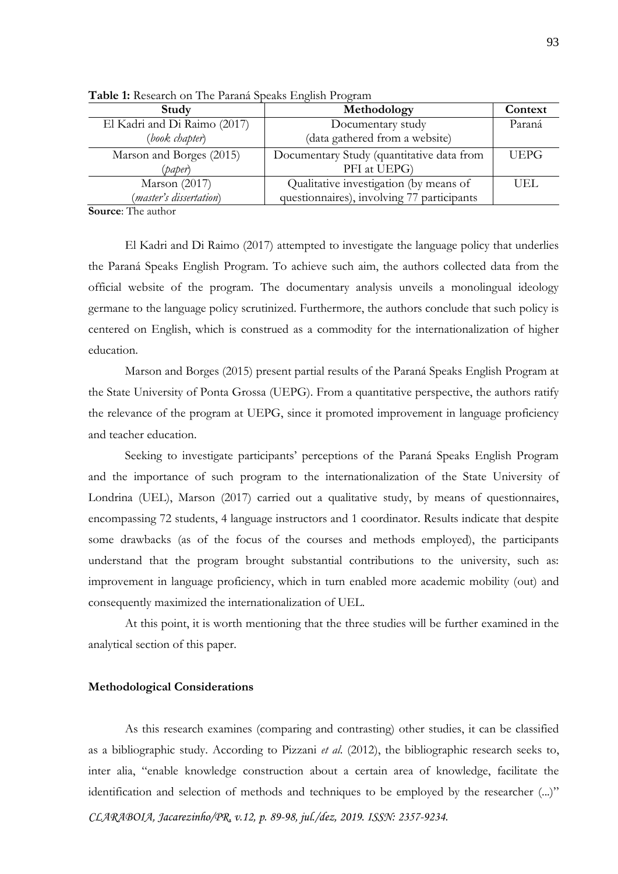| Study                        | Methodology                                | Context     |
|------------------------------|--------------------------------------------|-------------|
| El Kadri and Di Raimo (2017) | Documentary study                          | Paraná      |
| (book chapter)               | (data gathered from a website)             |             |
| Marson and Borges (2015)     | Documentary Study (quantitative data from  | <b>UEPG</b> |
| (paper)                      | PFI at UEPG)                               |             |
| Marson (2017)                | Qualitative investigation (by means of     | UEL.        |
| (master's dissertation)      | questionnaires), involving 77 participants |             |

**Table 1:** Research on The Paraná Speaks English Program

**Source**: The author

El Kadri and Di Raimo (2017) attempted to investigate the language policy that underlies the Paraná Speaks English Program. To achieve such aim, the authors collected data from the official website of the program. The documentary analysis unveils a monolingual ideology germane to the language policy scrutinized. Furthermore, the authors conclude that such policy is centered on English, which is construed as a commodity for the internationalization of higher education.

Marson and Borges (2015) present partial results of the Paraná Speaks English Program at the State University of Ponta Grossa (UEPG). From a quantitative perspective, the authors ratify the relevance of the program at UEPG, since it promoted improvement in language proficiency and teacher education.

Seeking to investigate participants' perceptions of the Paraná Speaks English Program and the importance of such program to the internationalization of the State University of Londrina (UEL), Marson (2017) carried out a qualitative study, by means of questionnaires, encompassing 72 students, 4 language instructors and 1 coordinator. Results indicate that despite some drawbacks (as of the focus of the courses and methods employed), the participants understand that the program brought substantial contributions to the university, such as: improvement in language proficiency, which in turn enabled more academic mobility (out) and consequently maximized the internationalization of UEL.

At this point, it is worth mentioning that the three studies will be further examined in the analytical section of this paper.

## **Methodological Considerations**

As this research examines (comparing and contrasting) other studies, it can be classified as a bibliographic study. According to Pizzani *et al*. (2012), the bibliographic research seeks to, inter alia, "enable knowledge construction about a certain area of knowledge, facilitate the identification and selection of methods and techniques to be employed by the researcher (...)"

*CLARABOIA, Jacarezinho/PR, v.12, p. 89-98, jul./dez, 2019. ISSN: 2357-9234.*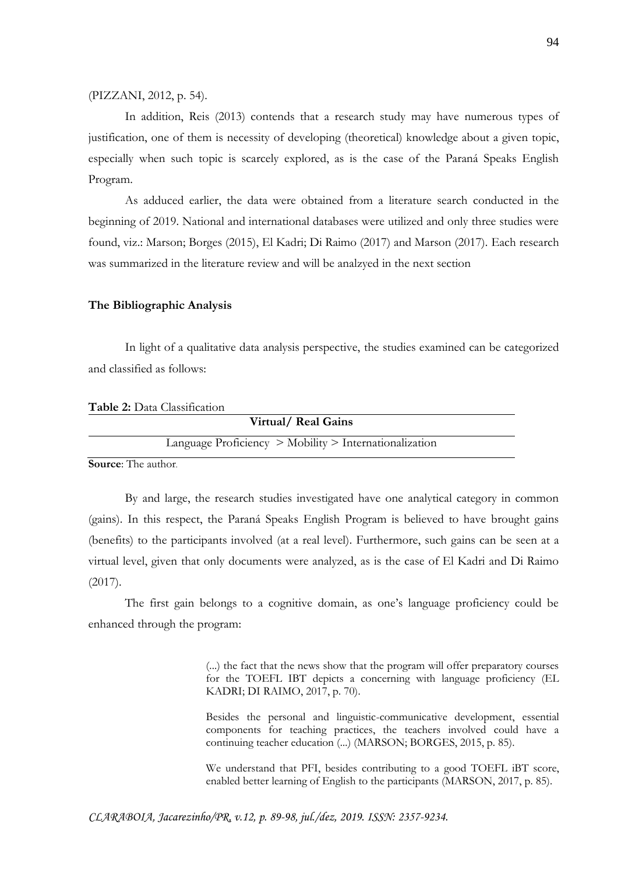(PIZZANI, 2012, p. 54).

In addition, Reis (2013) contends that a research study may have numerous types of justification, one of them is necessity of developing (theoretical) knowledge about a given topic, especially when such topic is scarcely explored, as is the case of the Paraná Speaks English Program.

As adduced earlier, the data were obtained from a literature search conducted in the beginning of 2019. National and international databases were utilized and only three studies were found, viz.: Marson; Borges (2015), El Kadri; Di Raimo (2017) and Marson (2017). Each research was summarized in the literature review and will be analzyed in the next section

#### **The Bibliographic Analysis**

In light of a qualitative data analysis perspective, the studies examined can be categorized and classified as follows:

| Table 2: Data Classification                               |  |
|------------------------------------------------------------|--|
| Virtual/Real Gains                                         |  |
| Language Proficiency $>$ Mobility $>$ Internationalization |  |
| $\sim$<br>$F \rightarrow 1$                                |  |

**Source**: The author.

By and large, the research studies investigated have one analytical category in common (gains). In this respect, the Paraná Speaks English Program is believed to have brought gains (benefits) to the participants involved (at a real level). Furthermore, such gains can be seen at a virtual level, given that only documents were analyzed, as is the case of El Kadri and Di Raimo (2017).

The first gain belongs to a cognitive domain, as one's language proficiency could be enhanced through the program:

> (...) the fact that the news show that the program will offer preparatory courses for the TOEFL IBT depicts a concerning with language proficiency (EL KADRI; DI RAIMO, 2017, p. 70).

> Besides the personal and linguistic-communicative development, essential components for teaching practices, the teachers involved could have a continuing teacher education (...) (MARSON; BORGES, 2015, p. 85).

> We understand that PFI, besides contributing to a good TOEFL iBT score, enabled better learning of English to the participants (MARSON, 2017, p. 85).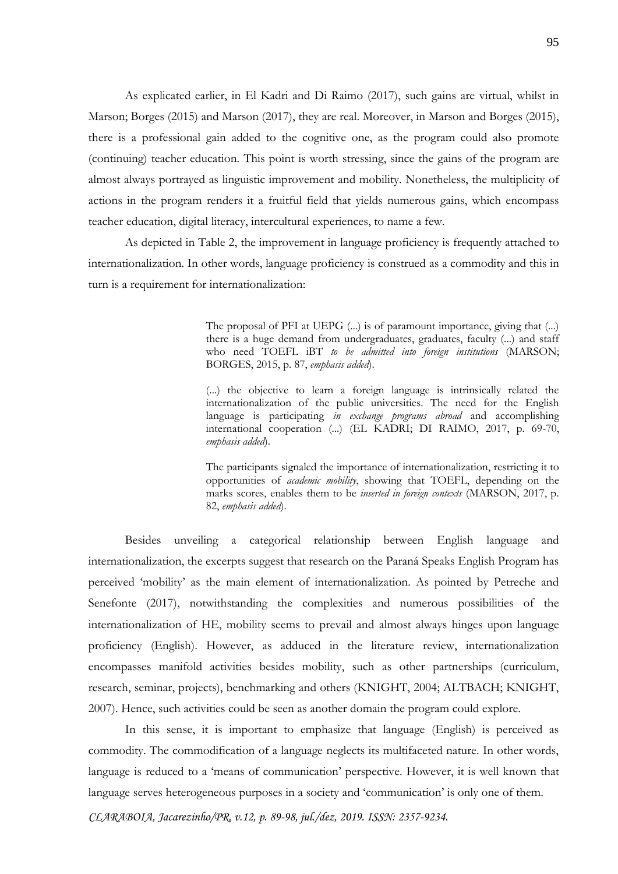As explicated earlier, in El Kadri and Di Raimo (2017), such gains are virtual, whilst in Marson; Borges (2015) and Marson (2017), they are real. Moreover, in Marson and Borges (2015), there is a professional gain added to the cognitive one, as the program could also promote (continuing) teacher education. This point is worth stressing, since the gains of the program are almost always portrayed as linguistic improvement and mobility. Nonetheless, the multiplicity of actions in the program renders it a fruitful field that yields numerous gains, which encompass teacher education, digital literacy, intercultural experiences, to name a few.

As depicted in Table 2, the improvement in language proficiency is frequently attached to internationalization. In other words, language proficiency is construed as a commodity and this in turn is a requirement for internationalization:

> The proposal of PFI at UEPG (...) is of paramount importance, giving that (...) there is a huge demand from undergraduates, graduates, faculty (...) and staff who need TOEFL iBT *to be admitted into foreign institutions* (MARSON; BORGES, 2015, p. 87, *emphasis added*).

> (...) the objective to learn a foreign language is intrinsically related the internationalization of the public universities. The need for the English language is participating *in exchange programs abroad* and accomplishing international cooperation (...) (EL KADRI; DI RAIMO, 2017, p. 69-70, *emphasis added*).

> The participants signaled the importance of internationalization, restricting it to opportunities of *academic mobility*, showing that TOEFL, depending on the marks scores, enables them to be *inserted in foreign contexts* (MARSON, 2017, p. 82, *emphasis added*).

Besides unveiling a categorical relationship between English language and internationalization, the excerpts suggest that research on the Paraná Speaks English Program has perceived 'mobility' as the main element of internationalization. As pointed by Petreche and Senefonte (2017), notwithstanding the complexities and numerous possibilities of the internationalization of HE, mobility seems to prevail and almost always hinges upon language proficiency (English). However, as adduced in the literature review, internationalization encompasses manifold activities besides mobility, such as other partnerships (curriculum, research, seminar, projects), benchmarking and others (KNIGHT, 2004; ALTBACH; KNIGHT, 2007). Hence, such activities could be seen as another domain the program could explore.

In this sense, it is important to emphasize that language (English) is perceived as commodity. The commodification of a language neglects its multifaceted nature. In other words, language is reduced to a 'means of communication' perspective. However, it is well known that language serves heterogeneous purposes in a society and 'communication' is only one of them.

*CLARABOIA, Jacarezinho/PR, v.12, p. 89-98, jul./dez, 2019. ISSN: 2357-9234.*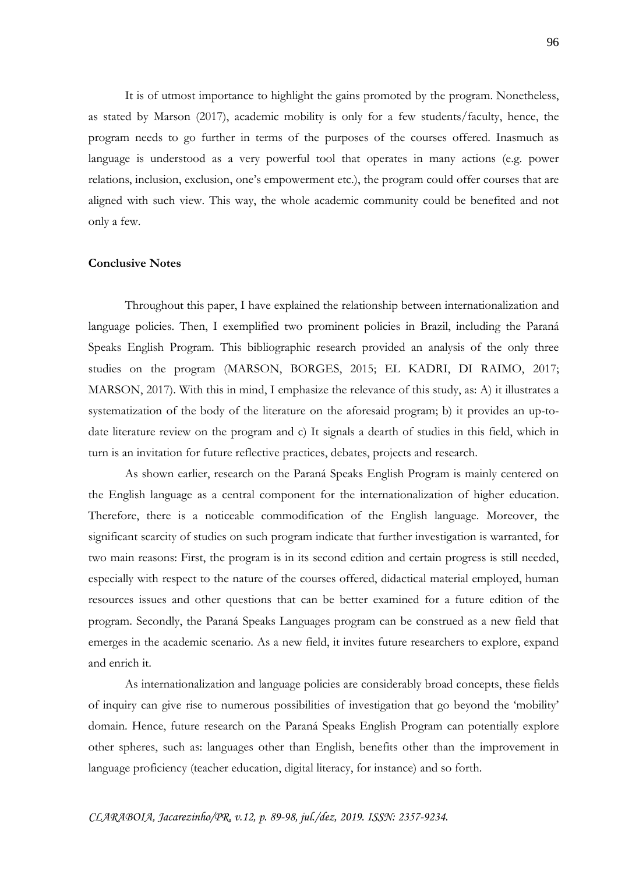It is of utmost importance to highlight the gains promoted by the program. Nonetheless, as stated by Marson (2017), academic mobility is only for a few students/faculty, hence, the program needs to go further in terms of the purposes of the courses offered. Inasmuch as language is understood as a very powerful tool that operates in many actions (e.g. power relations, inclusion, exclusion, one's empowerment etc.), the program could offer courses that are aligned with such view. This way, the whole academic community could be benefited and not only a few.

# **Conclusive Notes**

Throughout this paper, I have explained the relationship between internationalization and language policies. Then, I exemplified two prominent policies in Brazil, including the Paraná Speaks English Program. This bibliographic research provided an analysis of the only three studies on the program (MARSON, BORGES, 2015; EL KADRI, DI RAIMO, 2017; MARSON, 2017). With this in mind, I emphasize the relevance of this study, as: A) it illustrates a systematization of the body of the literature on the aforesaid program; b) it provides an up-todate literature review on the program and c) It signals a dearth of studies in this field, which in turn is an invitation for future reflective practices, debates, projects and research.

As shown earlier, research on the Paraná Speaks English Program is mainly centered on the English language as a central component for the internationalization of higher education. Therefore, there is a noticeable commodification of the English language. Moreover, the significant scarcity of studies on such program indicate that further investigation is warranted, for two main reasons: First, the program is in its second edition and certain progress is still needed, especially with respect to the nature of the courses offered, didactical material employed, human resources issues and other questions that can be better examined for a future edition of the program. Secondly, the Paraná Speaks Languages program can be construed as a new field that emerges in the academic scenario. As a new field, it invites future researchers to explore, expand and enrich it.

As internationalization and language policies are considerably broad concepts, these fields of inquiry can give rise to numerous possibilities of investigation that go beyond the 'mobility' domain. Hence, future research on the Paraná Speaks English Program can potentially explore other spheres, such as: languages other than English, benefits other than the improvement in language proficiency (teacher education, digital literacy, for instance) and so forth.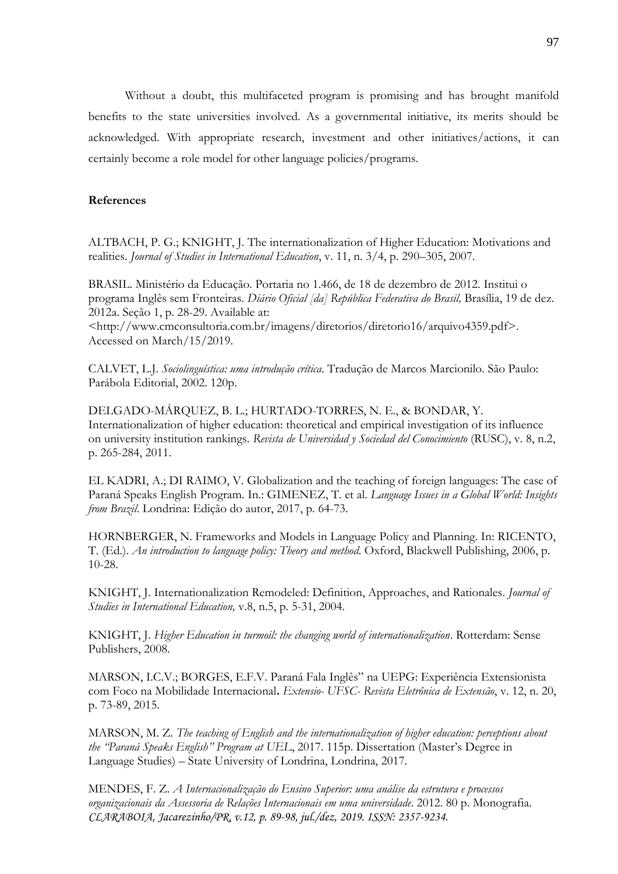Without a doubt, this multifaceted program is promising and has brought manifold benefits to the state universities involved. As a governmental initiative, its merits should be acknowledged. With appropriate research, investment and other initiatives/actions, it can certainly become a role model for other language policies/programs.

## **References**

ALTBACH, P. G.; KNIGHT, J. The internationalization of Higher Education: Motivations and realities. *Journal of Studies in International Education*, v. 11, n. 3/4, p. 290–305, 2007.

BRASIL. Ministério da Educação. Portaria no 1.466, de 18 de dezembro de 2012. Institui o programa Inglês sem Fronteiras. *Diário Oficial [da] República Federativa do Brasil,* Brasília, 19 de dez. 2012a. Seção 1, p. 28-29. Available at:

<http://www.cmconsultoria.com.br/imagens/diretorios/diretorio16/arquivo4359.pdf>. Accessed on March/15/2019.

CALVET, L.J. *Sociolinguística: uma introdução crítica*. Tradução de Marcos Marcionilo. São Paulo: Parábola Editorial, 2002. 120p.

DELGADO-MÁRQUEZ, B. L.; HURTADO-TORRES, N. E., & BONDAR, Y. Internationalization of higher education: theoretical and empirical investigation of its influence on university institution rankings. *Revista de Universidad y Sociedad del Conocimiento* (RUSC), v. 8, n.2, p. 265-284, 2011.

EL KADRI, A.; DI RAIMO, V. Globalization and the teaching of foreign languages: The case of Paraná Speaks English Program. In.: GIMENEZ, T. et al. *Language Issues in a Global World: Insights from Brazil*. Londrina: Edição do autor, 2017, p. 64-73.

HORNBERGER, N. Frameworks and Models in Language Policy and Planning. In: RICENTO, T. (Ed.). *An introduction to language policy: Theory and method*. Oxford, Blackwell Publishing, 2006, p. 10-28.

KNIGHT, J. Internationalization Remodeled: Definition, Approaches, and Rationales. *Journal of Studies in International Education,* v.8, n.5, p. 5-31, 2004.

KNIGHT, J. *Higher Education in turmoil: the changing world of internationalization*. Rotterdam: Sense Publishers, 2008.

MARSON, I.C.V.; BORGES, E.F.V. Paraná Fala Inglês" na UEPG: Experiência Extensionista com Foco na Mobilidade Internacional**.** *Extensio- UFSC- Revista Eletrônica de Extensão*, v. 12, n. 20, p. 73-89, 2015.

MARSON, M. Z. *The teaching of English and the internationalization of higher education: perceptions about the "Paraná Speaks English" Program at UEL*, 2017. 115p. Dissertation (Master's Degree in Language Studies) – State University of Londrina, Londrina, 2017.

*CLARABOIA, Jacarezinho/PR, v.12, p. 89-98, jul./dez, 2019. ISSN: 2357-9234.* MENDES, F. Z. *A Internacionalização do Ensino Superior: uma análise da estrutura e processos organizacionais da Assessoria de Relações Internacionais em uma universidade*. 2012. 80 p. Monografia.